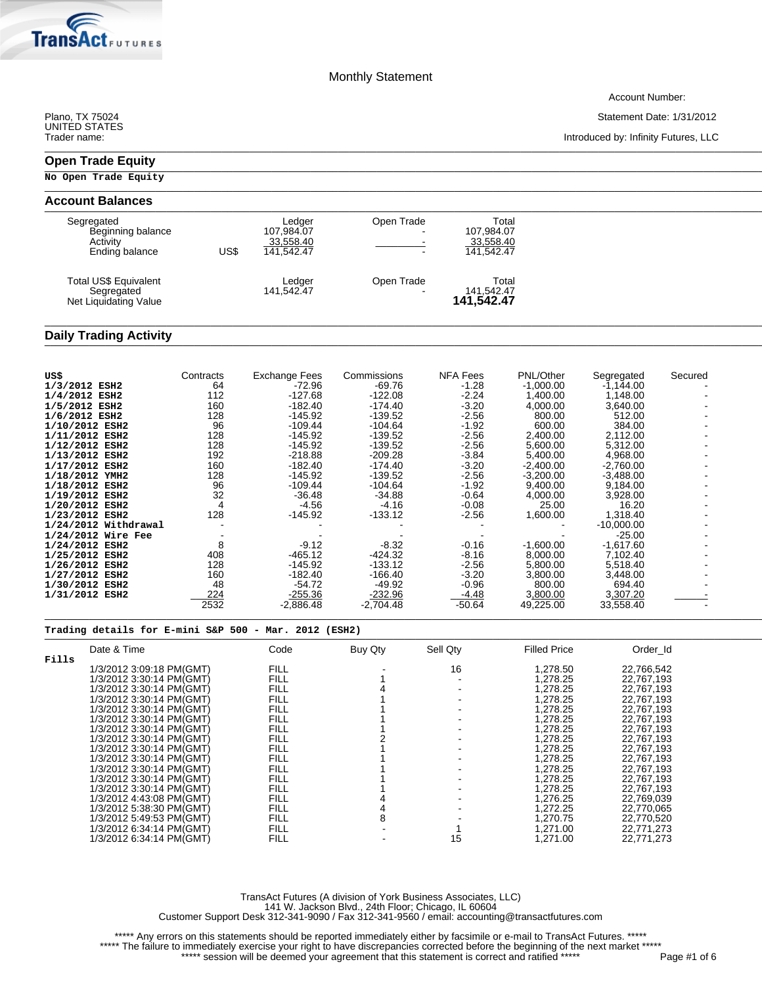\_\_\_\_\_\_\_\_\_\_\_\_\_\_\_\_\_\_\_\_\_\_\_\_\_\_\_\_\_\_\_\_\_\_\_\_\_\_\_\_\_\_\_\_\_\_\_\_\_\_\_\_\_\_\_\_\_\_\_\_\_\_\_\_\_\_\_\_\_\_\_\_\_\_\_\_\_\_\_\_\_\_\_\_\_\_\_\_\_\_\_\_\_\_\_\_\_\_\_\_\_\_\_\_\_\_\_\_\_\_\_\_\_\_\_\_\_\_\_\_\_\_\_\_\_\_\_\_\_\_\_\_\_\_\_\_\_\_\_\_\_\_\_\_\_

 $\ldots$  . The contribution of the contribution of the contribution of the contribution of the contribution of the contribution of the contribution of the contribution of the contribution of the contribution of the contribut

\_\_\_\_\_\_\_\_\_\_\_\_\_\_\_\_\_\_\_\_\_\_\_\_\_\_\_\_\_\_\_\_\_\_\_\_\_\_\_\_\_\_\_\_\_\_\_\_\_\_\_\_\_\_\_\_\_\_\_\_\_\_\_\_\_\_\_\_\_\_\_\_\_\_\_\_\_\_\_\_\_\_\_\_\_\_\_\_\_\_\_\_\_\_\_\_\_\_\_\_\_\_\_\_\_\_\_\_\_\_\_\_\_\_\_\_\_\_\_\_\_\_\_\_\_\_\_\_\_\_\_\_\_\_\_\_\_\_\_\_\_\_\_\_\_

\_\_\_\_\_\_\_\_\_\_\_\_\_\_\_\_\_\_\_\_\_\_\_\_\_\_\_\_\_\_\_\_\_\_\_\_\_\_\_\_\_\_\_\_\_\_\_\_\_\_\_\_\_\_\_\_\_\_\_\_\_\_\_\_\_\_\_\_\_\_\_\_\_\_\_\_\_\_\_\_\_\_\_\_\_\_\_\_\_\_\_\_\_\_\_\_\_\_\_\_\_\_\_\_\_\_\_\_\_\_\_\_\_\_\_\_\_\_\_\_\_\_\_\_\_\_\_\_\_\_\_\_\_\_\_\_\_\_\_\_\_\_\_\_\_

Account Number:

Plano, TX 75024 Statement Date: 1/31/2012

Introduced by: Infinity Futures, LLC

UNITÉD STATES<br>Trader name:

**Tra** 

# **Open Trade Equity** \_\_\_\_\_\_\_\_\_\_\_\_\_\_\_\_\_\_\_\_\_\_\_\_\_\_\_\_\_\_\_\_\_\_\_\_\_\_\_\_\_\_\_\_\_\_\_\_\_\_\_\_\_\_\_\_\_\_\_\_\_\_\_\_\_\_\_\_\_\_\_\_\_\_\_\_\_\_\_\_\_\_\_\_\_\_\_\_\_\_\_\_\_\_\_\_\_\_\_\_\_\_\_\_\_\_\_\_\_\_\_\_\_\_\_\_\_\_\_\_\_\_\_\_\_\_\_\_\_\_\_\_\_\_\_\_\_\_\_\_\_\_\_\_\_

**No Open Trade Equity**

.<br>Futures

| <b>Account Balances</b>                                       |      |                                                 |                                                                    |                                                |  |  |
|---------------------------------------------------------------|------|-------------------------------------------------|--------------------------------------------------------------------|------------------------------------------------|--|--|
| Segregated<br>Beginning balance<br>Activity<br>Ending balance | US\$ | ∟edger<br>107.984.07<br>33,558.40<br>141.542.47 | Open Trade<br>$\overline{\phantom{a}}$<br>$\overline{\phantom{a}}$ | Total<br>107,984.07<br>33,558.40<br>141.542.47 |  |  |
| Total US\$ Equivalent<br>Segregated<br>Net Liquidating Value  |      | Ledger<br>141,542.47                            | Open Trade                                                         | Total<br>141,542.47<br><b>141,542.47</b>       |  |  |

### Daily Trading Activity

| US\$                   | Contracts | <b>Exchange Fees</b> | Commissions | <b>NFA Fees</b> | PNL/Other   | Segregated   | Secured |
|------------------------|-----------|----------------------|-------------|-----------------|-------------|--------------|---------|
| 1/3/2012 ESH2          | 64        | $-72.96$             | $-69.76$    | $-1.28$         | $-1,000.00$ | $-1,144.00$  |         |
| 1/4/2012 ESH2          | 112       | $-127.68$            | $-122.08$   | $-2.24$         | 1.400.00    | 1,148.00     |         |
| 1/5/2012 ESH2          | 160       | -182.40              | $-174.40$   | $-3.20$         | 4,000.00    | 3,640.00     |         |
| 1/6/2012 ESH2          | 128       | $-145.92$            | $-139.52$   | $-2.56$         | 800.00      | 512.00       |         |
| 1/10/2012 ESH2         | 96        | $-109.44$            | $-104.64$   | $-1.92$         | 600.00      | 384.00       |         |
| 1/11/2012 ESH2         | 128       | -145.92              | -139.52     | $-2.56$         | 2,400.00    | 2,112.00     |         |
| 1/12/2012 ESH2         | 128       | $-145.92$            | $-139.52$   | $-2.56$         | 5,600.00    | 5,312.00     |         |
| 1/13/2012 ESH2         | 192       | $-218.88$            | $-209.28$   | $-3.84$         | 5,400.00    | 4,968.00     |         |
| 1/17/2012 ESH2         | 160       | -182.40              | $-174.40$   | $-3.20$         | $-2,400.00$ | $-2,760.00$  |         |
| 1/18/2012 YMH2         | 128       | -145.92              | $-139.52$   | $-2.56$         | $-3,200.00$ | $-3,488.00$  |         |
| 1/18/2012 ESH2         | 96        | $-109.44$            | -104.64     | $-1.92$         | 9,400.00    | 9,184.00     |         |
| 1/19/2012 ESH2         | 32        | $-36.48$             | $-34.88$    | $-0.64$         | 4,000.00    | 3,928.00     |         |
| 1/20/2012 ESH2         |           | -4.56                | -4.16       | $-0.08$         | 25.00       | 16.20        |         |
| 1/23/2012 ESH2         | 128       | -145.92              | $-133.12$   | $-2.56$         | 1,600.00    | 1,318.40     |         |
| $1/24/2012$ Withdrawal |           |                      |             |                 |             | $-10,000.00$ |         |
| $1/24/2012$ Wire Fee   |           |                      |             |                 |             | $-25.00$     |         |
| 1/24/2012 ESH2         | 8         | $-9.12$              | $-8.32$     | $-0.16$         | $-1,600.00$ | $-1,617.60$  |         |
| 1/25/2012 ESH2         | 408       | $-465.12$            | $-424.32$   | $-8.16$         | 8.000.00    | 7,102.40     |         |
| 1/26/2012 ESH2         | 128       | $-145.92$            | $-133.12$   | $-2.56$         | 5,800.00    | 5,518.40     |         |
| 1/27/2012 ESH2         | 160       | $-182.40$            | $-166.40$   | $-3.20$         | 3,800.00    | 3,448.00     |         |
| 1/30/2012 ESH2         | 48        | $-54.72$             | -49.92      | $-0.96$         | 800.00      | 694.40       |         |
| 1/31/2012 ESH2         | 224       | $-255.36$            | $-232.96$   | $-4.48$         | 3,800.00    | 3,307.20     |         |
|                        | 2532      | -2,886.48            | $-2,704.48$ | $-50.64$        | 49,225.00   | 33,558.40    |         |

# **Trading details for E-mini S&P 500 - Mar. 2012 (ESH2)** \_\_\_\_\_\_\_\_\_\_\_\_\_\_\_\_\_\_\_\_\_\_\_\_\_\_\_\_\_\_\_\_\_\_\_\_\_\_\_\_\_\_\_\_\_\_\_\_\_\_\_\_\_\_\_\_\_\_\_\_\_\_\_\_\_\_\_\_\_\_\_\_\_\_\_\_\_\_\_\_\_\_\_\_\_\_\_\_\_\_\_\_\_\_\_\_\_\_\_\_\_\_\_\_\_\_\_\_\_\_\_\_\_\_\_\_\_\_\_\_\_\_\_\_\_\_\_\_\_\_\_\_\_\_\_\_\_\_\_\_\_\_\_\_\_

|       | Date & Time              | Code        | Buy Qty | Sell Qty | <b>Filled Price</b> | Order Id   |
|-------|--------------------------|-------------|---------|----------|---------------------|------------|
| Fills |                          |             |         |          |                     |            |
|       | 1/3/2012 3:09:18 PM(GMT) | <b>FILL</b> |         | 16       | 1.278.50            | 22.766.542 |
|       | 1/3/2012 3:30:14 PM(GMT) | <b>FILL</b> |         |          | 1.278.25            | 22,767,193 |
|       | 1/3/2012 3:30:14 PM(GMT) | <b>FILL</b> |         |          | 1.278.25            | 22,767,193 |
|       | 1/3/2012 3:30:14 PM(GMT) | <b>FILL</b> |         |          | 1.278.25            | 22.767.193 |
|       | 1/3/2012 3:30:14 PM(GMT) | <b>FILL</b> |         |          | 1.278.25            | 22,767,193 |
|       | 1/3/2012 3:30:14 PM(GMT) | <b>FILL</b> |         |          | 1,278.25            | 22,767,193 |
|       | 1/3/2012 3:30:14 PM(GMT) | <b>FILL</b> |         |          | 1.278.25            | 22.767.193 |
|       | 1/3/2012 3:30:14 PM(GMT) | <b>FILL</b> |         |          | 1.278.25            | 22,767,193 |
|       | 1/3/2012 3:30:14 PM(GMT) | <b>FILL</b> |         |          | 1.278.25            | 22,767,193 |
|       | 1/3/2012 3:30:14 PM(GMT) | <b>FILL</b> |         |          | 1.278.25            | 22.767.193 |
|       | 1/3/2012 3:30:14 PM(GMT) | <b>FILL</b> |         |          | 1.278.25            | 22,767,193 |
|       | 1/3/2012 3:30:14 PM(GMT) | <b>FILL</b> |         |          | 1.278.25            | 22,767,193 |
|       | 1/3/2012 3:30:14 PM(GMT) | <b>FILL</b> |         |          | 1.278.25            | 22.767.193 |
|       | 1/3/2012 4:43:08 PM(GMT) | <b>FILL</b> |         |          | 1.276.25            | 22,769,039 |
|       | 1/3/2012 5:38:30 PM(GMT) | <b>FILL</b> |         |          | 1.272.25            | 22.770.065 |
|       | 1/3/2012 5:49:53 PM(GMT) | <b>FILL</b> | 8       |          | 1.270.75            | 22,770,520 |
|       | 1/3/2012 6:34:14 PM(GMT) | <b>FILL</b> |         |          | 1.271.00            | 22,771,273 |
|       | 1/3/2012 6:34:14 PM(GMT) | <b>FILL</b> |         | 15       | 1,271.00            | 22,771,273 |

TransAct Futures (A division of York Business Associates, LLC) 141 W. Jackson Blvd., 24th Floor; Chicago, IL 60604 Customer Support Desk 312-341-9090 / Fax 312-341-9560 / email: accounting@transactfutures.com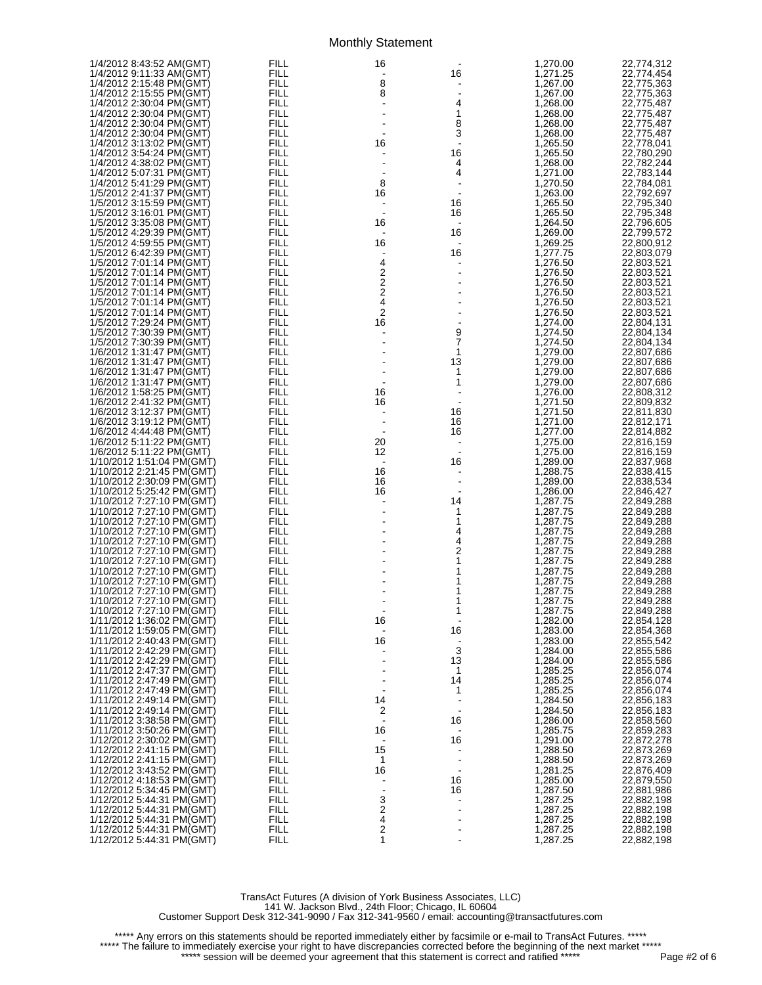| 1/4/2012 8:43:52 AM(GMT)  | FILL        | 16                             |                              | 1,270.00 | 22,774,312 |
|---------------------------|-------------|--------------------------------|------------------------------|----------|------------|
|                           |             |                                |                              |          |            |
| 1/4/2012 9:11:33 AM(GMT)  | FILL        | $\overline{\phantom{a}}$       | 16                           | 1,271.25 | 22,774,454 |
| 1/4/2012 2:15:48 PM(GMT)  | <b>FILL</b> | 8                              |                              | 1,267.00 | 22,775,363 |
| 1/4/2012 2:15:55 PM(GMT)  | <b>FILL</b> | 8                              | $\qquad \qquad \blacksquare$ | 1,267.00 | 22,775,363 |
|                           |             |                                |                              |          |            |
| 1/4/2012 2:30:04 PM(GMT)  | FILL        | $\overline{a}$                 | 4                            | 1,268.00 | 22,775,487 |
| 1/4/2012 2:30:04 PM(GMT)  | <b>FILL</b> |                                | 1                            | 1,268.00 | 22,775,487 |
|                           | <b>FILL</b> |                                |                              |          |            |
| 1/4/2012 2:30:04 PM(GMT)  |             |                                | 8                            | 1,268.00 | 22,775,487 |
| 1/4/2012 2:30:04 PM(GMT)  | FILL        |                                | 3                            | 1,268.00 | 22,775,487 |
| 1/4/2012 3:13:02 PM(GMT)  | <b>FILL</b> | 16                             | $\blacksquare$               | 1,265.50 | 22,778,041 |
|                           |             |                                |                              |          |            |
| 1/4/2012 3:54:24 PM(GMT)  | <b>FILL</b> |                                | 16                           | 1,265.50 | 22,780,290 |
| 1/4/2012 4:38:02 PM(GMT)  | FILL        |                                | 4                            | 1,268.00 | 22,782,244 |
|                           |             |                                |                              |          |            |
| 1/4/2012 5:07:31 PM(GMT)  | <b>FILL</b> | $\overline{\phantom{a}}$       | 4                            | 1,271.00 | 22,783,144 |
| 1/4/2012 5:41:29 PM(GMT)  | <b>FILL</b> | 8                              |                              | 1,270.50 | 22,784,081 |
| 1/5/2012 2:41:37 PM(GMT)  | FILL        | 16                             | $\blacksquare$               | 1,263.00 | 22,792,697 |
|                           |             |                                |                              |          |            |
| 1/5/2012 3:15:59 PM(GMT)  | <b>FILL</b> | $\overline{\phantom{a}}$       | 16                           | 1,265.50 | 22,795,340 |
| 1/5/2012 3:16:01 PM(GMT)  | <b>FILL</b> |                                | 16                           | 1,265.50 | 22,795,348 |
| 1/5/2012 3:35:08 PM(GMT)  |             |                                |                              |          |            |
|                           | FILL        | 16                             | $\qquad \qquad \blacksquare$ | 1,264.50 | 22,796,605 |
| 1/5/2012 4:29:39 PM(GMT)  | <b>FILL</b> | $\blacksquare$                 | 16                           | 1,269.00 | 22,799,572 |
| 1/5/2012 4:59:55 PM(GMT)  | <b>FILL</b> | 16                             | $\qquad \qquad \blacksquare$ | 1,269.25 | 22,800,912 |
|                           |             |                                |                              |          |            |
| 1/5/2012 6:42:39 PM(GMT)  | FILL        | $\blacksquare$                 | 16                           | 1,277.75 | 22,803,079 |
| 1/5/2012 7:01:14 PM(GMT)  | <b>FILL</b> |                                | $\blacksquare$               | 1,276.50 | 22,803,521 |
|                           | <b>FILL</b> | $\frac{4}{2}$<br>$\frac{2}{4}$ |                              |          |            |
| 1/5/2012 7:01:14 PM(GMT)  |             |                                | $\qquad \qquad \blacksquare$ | 1,276.50 | 22,803,521 |
| 1/5/2012 7:01:14 PM(GMT)  | FILL        |                                |                              | 1,276.50 | 22,803,521 |
| 1/5/2012 7:01:14 PM(GMT)  | <b>FILL</b> |                                |                              | 1,276.50 | 22,803,521 |
|                           |             |                                |                              |          |            |
| 1/5/2012 7:01:14 PM(GMT)  | <b>FILL</b> |                                |                              | 1,276.50 | 22,803,521 |
| 1/5/2012 7:01:14 PM(GMT)  | FILL        | $\overline{c}$                 |                              | 1,276.50 | 22,803,521 |
|                           |             |                                |                              |          |            |
| 1/5/2012 7:29:24 PM(GMT)  | <b>FILL</b> | 16                             |                              | 1,274.00 | 22,804,131 |
| 1/5/2012 7:30:39 PM(GMT)  | <b>FILL</b> |                                | 9                            | 1,274.50 | 22,804,134 |
| 1/5/2012 7:30:39 PM(GMT)  | FILL        |                                | 7                            | 1,274.50 | 22,804,134 |
|                           |             |                                |                              |          |            |
| 1/6/2012 1:31:47 PM(GMT)  | <b>FILL</b> |                                | 1                            | 1,279.00 | 22,807,686 |
| 1/6/2012 1:31:47 PM(GMT)  | <b>FILL</b> |                                | 13                           | 1,279.00 | 22,807,686 |
|                           | FILL        |                                | 1                            | 1,279.00 |            |
| 1/6/2012 1:31:47 PM(GMT)  |             |                                |                              |          | 22,807,686 |
| 1/6/2012 1:31:47 PM(GMT)  | <b>FILL</b> |                                | 1                            | 1,279.00 | 22,807,686 |
| 1/6/2012 1:58:25 PM(GMT)  | FILL        | 16                             |                              | 1,276.00 | 22,808,312 |
|                           |             |                                |                              |          |            |
| 1/6/2012 2:41:32 PM(GMT)  | FILL        | 16                             |                              | 1,271.50 | 22,809,832 |
| 1/6/2012 3:12:37 PM(GMT)  | <b>FILL</b> |                                | 16                           | 1,271.50 | 22,811,830 |
| 1/6/2012 3:19:12 PM(GMT)  | <b>FILL</b> |                                | 16                           | 1,271.00 | 22,812,171 |
|                           |             |                                |                              |          |            |
| 1/6/2012 4:44:48 PM(GMT)  | FILL        | $\blacksquare$                 | 16                           | 1,277.00 | 22,814,882 |
| 1/6/2012 5:11:22 PM(GMT)  | <b>FILL</b> | 20                             | $\blacksquare$               | 1,275.00 | 22,816,159 |
|                           | <b>FILL</b> | 12                             | $\blacksquare$               |          |            |
| 1/6/2012 5:11:22 PM(GMT)  |             |                                |                              | 1,275.00 | 22,816,159 |
| 1/10/2012 1:51:04 PM(GMT) | FILL        | $\overline{\phantom{a}}$       | 16                           | 1,289.00 | 22,837,968 |
| 1/10/2012 2:21:45 PM(GMT) | <b>FILL</b> | 16                             |                              | 1,288.75 | 22,838,415 |
|                           |             |                                |                              |          |            |
| 1/10/2012 2:30:09 PM(GMT) | <b>FILL</b> | 16                             |                              | 1,289.00 | 22,838,534 |
| 1/10/2012 5:25:42 PM(GMT) | FILL        | 16                             |                              | 1,286.00 | 22,846,427 |
| 1/10/2012 7:27:10 PM(GMT) | <b>FILL</b> | $\overline{\phantom{a}}$       | 14                           | 1,287.75 | 22,849,288 |
|                           |             |                                |                              |          |            |
| 1/10/2012 7:27:10 PM(GMT) | FILL        |                                | 1                            | 1,287.75 | 22,849,288 |
| 1/10/2012 7:27:10 PM(GMT) | FILL        |                                | 1                            | 1,287.75 | 22,849,288 |
|                           | <b>FILL</b> |                                |                              | 1,287.75 |            |
| 1/10/2012 7:27:10 PM(GMT) |             |                                | 4                            |          | 22,849,288 |
| 1/10/2012 7:27:10 PM(GMT) | FILL        |                                | 4                            | 1,287.75 | 22,849,288 |
| 1/10/2012 7:27:10 PM(GMT) | FILL        |                                | 2                            | 1,287.75 | 22,849,288 |
|                           |             |                                |                              |          |            |
| 1/10/2012 7:27:10 PM(GMT) | <b>FILL</b> |                                | 1                            | 1,287.75 | 22,849,288 |
| 1/10/2012 7:27:10 PM(GMT) | FILL        |                                | 1                            | 1,287.75 | 22,849,288 |
| 1/10/2012 7:27:10 PM(GMT) | FILL        |                                | 1                            | 1,287.75 | 22,849,288 |
|                           |             |                                |                              |          |            |
| 1/10/2012 7:27:10 PM(GMT) | <b>FILL</b> |                                | 1                            | 1,287.75 | 22,849,288 |
| 1/10/2012 7:27:10 PM(GMT) | FILL        |                                | 1                            | 1,287.75 | 22,849,288 |
| 1/10/2012 7:27:10 PM(GMT) | <b>FILL</b> |                                | 1                            | 1,287.75 | 22,849,288 |
|                           |             |                                |                              |          |            |
| 1/11/2012 1:36:02 PM(GMT) | <b>FILL</b> | 16                             |                              | 1,282.00 | 22,854,128 |
| 1/11/2012 1:59:05 PM(GMT) | <b>FILL</b> |                                | 16                           | 1,283.00 | 22,854,368 |
| 1/11/2012 2:40:43 PM(GMT) | FILL        | 16                             |                              | 1,283.00 | 22,855,542 |
|                           |             |                                |                              |          |            |
| 1/11/2012 2:42:29 PM(GMT) | <b>FILL</b> |                                | 3                            | 1,284.00 | 22,855,586 |
| 1/11/2012 2:42:29 PM(GMT) | FILL        |                                | 13                           | 1,284.00 | 22,855,586 |
| 1/11/2012 2:47:37 PM(GMT) | FILL        |                                | 1                            | 1,285.25 | 22,856,074 |
|                           |             |                                |                              |          |            |
| 1/11/2012 2:47:49 PM(GMT) | <b>FILL</b> |                                | 14                           | 1,285.25 | 22,856,074 |
| 1/11/2012 2:47:49 PM(GMT) | FILL        |                                | 1                            | 1,285.25 | 22,856,074 |
| 1/11/2012 2:49:14 PM(GMT) | FILL        | 14                             |                              | 1,284.50 | 22,856,183 |
|                           |             |                                |                              |          |            |
| 1/11/2012 2:49:14 PM(GMT) | <b>FILL</b> | 2                              | $\blacksquare$               | 1,284.50 | 22,856,183 |
| 1/11/2012 3:38:58 PM(GMT) | FILL        |                                | 16                           | 1,286.00 | 22,858,560 |
| 1/11/2012 3:50:26 PM(GMT) | FILL        | 16                             |                              | 1,285.75 | 22,859,283 |
|                           |             |                                |                              |          |            |
| 1/12/2012 2:30:02 PM(GMT) | <b>FILL</b> |                                | 16                           | 1,291.00 | 22,872,278 |
| 1/12/2012 2:41:15 PM(GMT) | FILL        | 15                             |                              | 1,288.50 | 22,873,269 |
|                           |             |                                |                              |          |            |
| 1/12/2012 2:41:15 PM(GMT) | FILL        | 1                              |                              | 1,288.50 | 22,873,269 |
| 1/12/2012 3:43:52 PM(GMT) | <b>FILL</b> | 16                             |                              | 1,281.25 | 22,876,409 |
| 1/12/2012 4:18:53 PM(GMT) | FILL        |                                | 16                           | 1,285.00 | 22,879,550 |
|                           |             |                                |                              |          |            |
| 1/12/2012 5:34:45 PM(GMT) | FILL        |                                | 16                           | 1,287.50 | 22,881,986 |
| 1/12/2012 5:44:31 PM(GMT) | <b>FILL</b> | 3                              |                              | 1,287.25 | 22,882,198 |
| 1/12/2012 5:44:31 PM(GMT) | FILL        | 2                              |                              | 1,287.25 | 22,882,198 |
|                           |             |                                |                              |          |            |
| 1/12/2012 5:44:31 PM(GMT) | FILL        | 4                              |                              | 1,287.25 | 22,882,198 |
| 1/12/2012 5:44:31 PM(GMT) | <b>FILL</b> | 2                              |                              | 1,287.25 | 22,882,198 |
| 1/12/2012 5:44:31 PM(GMT) | <b>FILL</b> | 1                              |                              | 1,287.25 | 22,882,198 |
|                           |             |                                |                              |          |            |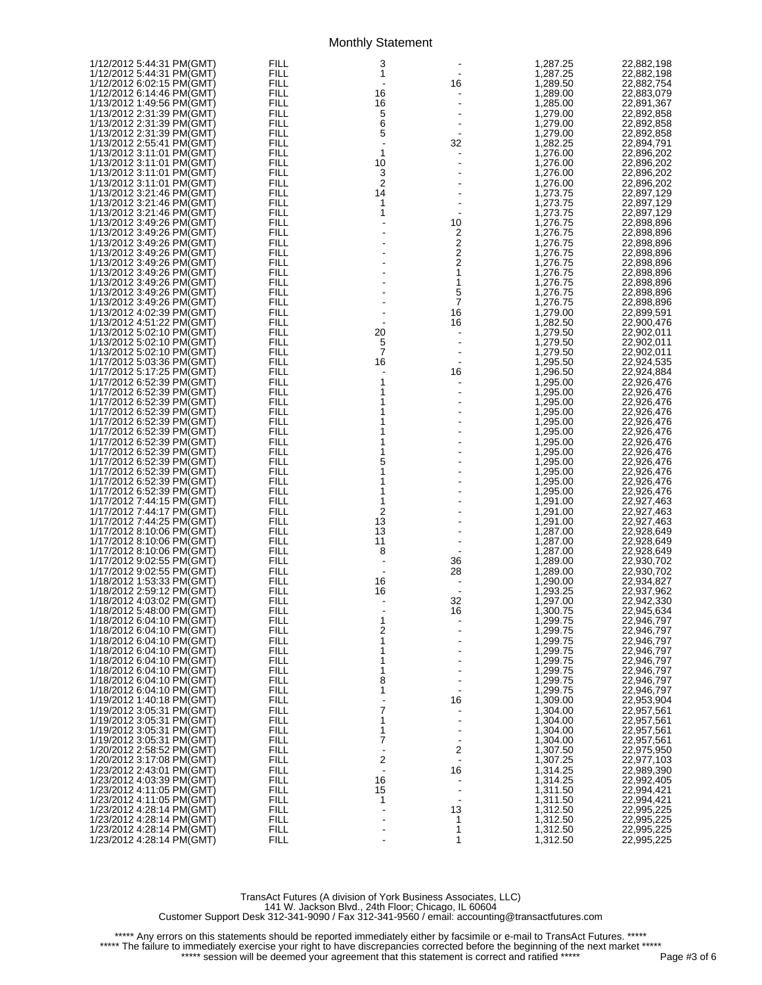|                                                        | <b>FILL</b>  | 3                        |                | 1,287.25             | 22,882,198               |
|--------------------------------------------------------|--------------|--------------------------|----------------|----------------------|--------------------------|
|                                                        | FILL         | 1                        | $\blacksquare$ | 1,287.25             | 22,882,198               |
| 1/12/2012 6:02:15 PM(GMT)                              | <b>FILL</b>  |                          | 16             | 1,289.50             | 22,882,754               |
| 1/12/2012 6:14:46 PM(GMT)                              | FILL         | 16                       |                | 1,289.00             | 22,883,079               |
| 1/13/2012 1:49:56 PM(GMT)                              | FILL         | 16                       |                | 1,285.00             | 22,891,367               |
| 1/13/2012 2:31:39 PM(GMT)                              | FILL         | 5                        |                | 1,279.00             | 22,892,858               |
| 1/13/2012 2:31:39 PM(GMT)                              | FILL         | 6                        |                | 1,279.00             | 22,892,858               |
| 1/13/2012 2:31:39 PM(GMT)                              | FILL         | 5                        |                | 1,279.00             | 22,892,858               |
| 1/13/2012 2:55:41 PM(GMT)                              | FILL         | $\blacksquare$           | 32             | 1,282.25             | 22,894,791               |
| 1/13/2012 3:11:01 PM(GMT)                              | FILL         | 1                        |                | 1,276.00             | 22,896,202               |
| 1/13/2012 3:11:01 PM(GMT)                              | FILL         | 10                       |                | 1,276.00             | 22,896,202               |
| 1/13/2012 3:11:01 PM(GMT)                              | FILL         | 3                        |                | 1,276.00             | 22,896,202               |
| 1/13/2012 3:11:01 PM(GMT)                              | FILL         | $\overline{\mathbf{c}}$  |                | 1,276.00             | 22,896,202               |
| 1/13/2012 3:21:46 PM(GMT)                              | FILL         | 14                       |                | 1,273.75             | 22,897,129               |
| 1/13/2012 3:21:46 PM(GMT)                              | FILL         | 1                        |                | 1.273.75             | 22,897,129               |
| 1/13/2012 3:21:46 PM(GMT)                              | FILL         | 1                        |                | 1,273.75             | 22,897,129               |
| 1/13/2012 3:49:26 PM(GMT)                              | FILL         |                          | 10             | 1,276.75             | 22,898,896               |
| 1/13/2012 3:49:26 PM(GMT)                              | FILL         |                          | 2              | 1,276.75             | 22,898,896               |
| 1/13/2012 3:49:26 PM(GMT)                              | FILL         |                          | 2              | 1,276.75             | 22,898,896               |
| 1/13/2012 3:49:26 PM(GMT)                              | FILL         |                          | 2              | 1,276.75             | 22,898,896               |
| 1/13/2012 3:49:26 PM(GMT)                              | FILL         |                          | 2              | 1,276.75             | 22,898,896               |
| 1/13/2012 3:49:26 PM(GMT)                              | FILL         |                          | 1              | 1,276.75             | 22,898,896               |
| 1/13/2012 3:49:26 PM(GMT)                              | FILL         |                          | 1              | 1,276.75             | 22,898,896               |
| 1/13/2012 3:49:26 PM(GMT)                              | FILL         |                          | 5              | 1,276.75             | 22,898,896               |
| 1/13/2012 3:49:26 PM(GMT)                              | FILL         |                          | 7              | 1,276.75             | 22,898,896               |
| 1/13/2012 4:02:39 PM(GMT)                              | FILL         |                          | 16             | 1,279.00             | 22,899,591               |
| 1/13/2012 4:51:22 PM(GMT)                              | FILL         |                          | 16             | 1,282.50             | 22,900,476               |
| 1/13/2012 5:02:10 PM(GMT)                              | FILL         | 20                       |                | 1,279.50             | 22,902,011               |
| 1/13/2012 5:02:10 PM(GMT)                              | FILL         | 5                        |                | 1,279.50             | 22,902,011               |
| 1/13/2012 5:02:10 PM(GMT)                              | FILL         | $\overline{7}$           |                | 1,279.50             | 22,902,011               |
| 1/17/2012 5:03:36 PM(GMT)                              | FILL         | 16                       |                | 1,295.50             | 22,924,535               |
| 1/17/2012 5:17:25 PM(GMT)                              | FILL         |                          | 16             | 1,296.50             | 22,924,884               |
| 1/17/2012 6:52:39 PM(GMT)                              | FILL         | 1                        |                | 1.295.00             | 22,926,476               |
| 1/17/2012 6:52:39 PM(GMT)                              | FILL         | 1                        |                | 1,295.00             | 22,926,476               |
| 1/17/2012 6:52:39 PM(GMT)                              | FILL         | 1                        |                | 1,295.00             | 22,926,476               |
| 1/17/2012 6:52:39 PM(GMT)                              | FILL         | 1                        |                | 1,295.00             | 22,926,476               |
| 1/17/2012 6:52:39 PM(GMT)                              | FILL         | 1                        |                | 1,295.00             | 22,926,476               |
| 1/17/2012 6:52:39 PM(GMT)                              | FILL         | 1                        |                | 1,295.00             | 22,926,476               |
| 1/17/2012 6:52:39 PM(GMT)                              | FILL         | 1                        |                | 1,295.00             | 22,926,476               |
| 1/17/2012 6:52:39 PM(GMT)                              | FILL         | 1                        |                | 1,295.00             | 22,926,476               |
| 1/17/2012 6:52:39 PM(GMT)                              | FILL         | 5                        |                | 1,295.00             | 22,926,476               |
| 1/17/2012 6:52:39 PM(GMT)                              | FILL         | 1                        |                | 1,295.00             | 22,926,476               |
| 1/17/2012 6:52:39 PM(GMT)                              | FILL         | 1                        |                | 1,295.00             | 22,926,476               |
| 1/17/2012 6:52:39 PM(GMT)                              | FILL         | 1                        |                | 1,295.00             | 22,926,476               |
| 1/17/2012 7:44:15 PM(GMT)                              | FILL         | 1                        |                | 1,291.00             | 22,927,463               |
|                                                        | FILL         | 2                        |                | 1,291.00             | 22,927,463               |
| 1/17/2012 7:44:25 PM(GMT)                              | FILL<br>FILL | 13                       |                | 1,291.00             | 22,927,463               |
| 1/17/2012 8:10:06 PM(GMT)                              | FILL         | 13                       |                | 1,287.00             | 22,928,649<br>22,928,649 |
| 1/17/2012 8:10:06 PM(GMT)                              | FILL         | 11                       |                | 1,287.00             |                          |
| 1/17/2012 8:10:06 PM(GMT)                              | FILL         | 8                        |                | 1,287.00<br>1,289.00 | 22,928,649               |
| 1/17/2012 9:02:55 PM(GMT)                              | FILL         | $\overline{\phantom{a}}$ | 36             |                      | 22,930,702               |
| 1/17/2012 9:02:55 PM(GMT)<br>1/18/2012 1:53:33 PM(GMT) | FILL         | 16                       | 28             | 1,289.00             | 22,930,702               |
| 1/18/2012 2:59:12 PM(GMT)                              | FILL         | 16                       |                | 1,290.00<br>1,293.25 | 22,934,827<br>22,937,962 |
| 1/18/2012 4:03:02 PM(GMT)                              | <b>FILL</b>  |                          | 32             | 1,297.00             | 22,942,330               |
| 1/18/2012 5:48:00 PM(GMT)                              | FILL         |                          | 16             | 1,300.75             | 22,945,634               |
| 1/18/2012 6:04:10 PM(GMT)                              | <b>FILL</b>  | 1                        |                | 1,299.75             | 22,946,797               |
| 1/18/2012 6:04:10 PM(GMT)                              | <b>FILL</b>  | 2                        |                | 1,299.75             | 22,946,797               |
| 1/18/2012 6:04:10 PM(GMT)                              | FILL         | 1                        |                | 1,299.75             | 22,946,797               |
| 1/18/2012 6:04:10 PM(GMT)                              | <b>FILL</b>  | 1                        |                | 1,299.75             | 22,946,797               |
| 1/18/2012 6:04:10 PM(GMT)                              | <b>FILL</b>  | 1                        |                | 1,299.75             | 22,946,797               |
| 1/18/2012 6:04:10 PM(GMT)                              | FILL         | 1                        |                | 1,299.75             | 22,946,797               |
| 1/18/2012 6:04:10 PM(GMT)                              | <b>FILL</b>  | 8                        |                | 1,299.75             | 22,946,797               |
| 1/18/2012 6:04:10 PM(GMT)                              | FILL         | 1                        |                | 1,299.75             | 22,946,797               |
| 1/19/2012 1:40:18 PM(GMT)                              | FILL         |                          | 16             | 1,309.00             | 22,953,904               |
| 1/19/2012 3:05:31 PM(GMT)                              | <b>FILL</b>  | 7                        |                | 1,304.00             | 22,957,561               |
| 1/19/2012 3:05:31 PM(GMT)                              | FILL         | 1                        |                | 1,304.00             | 22,957,561               |
| 1/19/2012 3:05:31 PM(GMT)                              | FILL         | 1                        |                | 1,304.00             | 22,957,561               |
| 1/19/2012 3:05:31 PM(GMT)                              | <b>FILL</b>  | 7                        | $\blacksquare$ | 1,304.00             | 22,957,561               |
| 1/20/2012 2:58:52 PM(GMT)                              | FILL         |                          | 2              | 1,307.50             | 22,975,950               |
| 1/20/2012 3:17:08 PM(GMT)                              | FILL         | 2                        |                | 1,307.25             | 22,977,103               |
| 1/23/2012 2:43:01 PM(GMT)                              | <b>FILL</b>  |                          | 16             | 1,314.25             | 22,989,390               |
| 1/23/2012 4:03:39 PM(GMT)                              | FILL         | 16                       |                | 1,314.25             | 22,992,405               |
| 1/23/2012 4:11:05 PM(GMT)                              | FILL         | 15                       |                | 1,311.50             | 22,994,421               |
| 1/23/2012 4:11:05 PM(GMT)                              | FILL<br>FILL | 1                        | 13             | 1,311.50<br>1,312.50 | 22,994,421<br>22,995,225 |
|                                                        | FILL         |                          | 1              | 1,312.50             | 22,995,225               |
| 1/23/2012 4:28:14 PM(GMT)                              | <b>FILL</b>  |                          | 1              | 1,312.50             | 22,995,225               |
| 1/23/2012 4:28:14 PM(GMT)                              | <b>FILL</b>  |                          | 1              | 1,312.50             | 22,995,225               |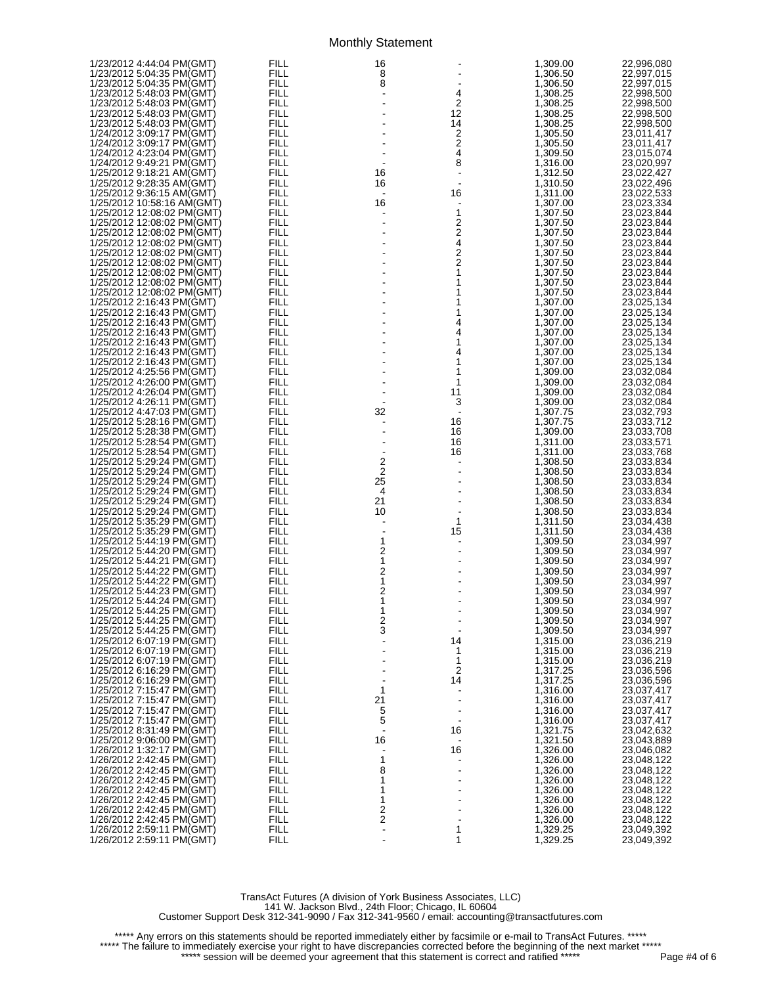| 1/23/2012 4:44:04 PM(GMT)  | FILL        | 16                           |                              | 1,309.00 | 22,996,080 |
|----------------------------|-------------|------------------------------|------------------------------|----------|------------|
|                            |             |                              |                              |          |            |
| 1/23/2012 5:04:35 PM(GMT)  | <b>FILL</b> | 8                            |                              | 1,306.50 | 22,997,015 |
| 1/23/2012 5:04:35 PM(GMT)  | <b>FILL</b> | 8                            |                              | 1,306.50 | 22,997,015 |
| 1/23/2012 5:48:03 PM(GMT)  | <b>FILL</b> | $\blacksquare$               | 4                            | 1,308.25 | 22,998,500 |
|                            | FILL        |                              | 2                            |          |            |
| 1/23/2012 5:48:03 PM(GMT)  |             |                              |                              | 1,308.25 | 22,998,500 |
| 1/23/2012 5:48:03 PM(GMT)  | <b>FILL</b> |                              | 12                           | 1,308.25 | 22,998,500 |
| 1/23/2012 5:48:03 PM(GMT)  | <b>FILL</b> |                              | 14                           | 1,308.25 | 22,998,500 |
|                            | FILL        |                              | 2                            |          |            |
| 1/24/2012 3:09:17 PM(GMT)  |             |                              |                              | 1,305.50 | 23,011,417 |
| 1/24/2012 3:09:17 PM(GMT)  | <b>FILL</b> |                              | $\frac{2}{4}$                | 1,305.50 | 23,011,417 |
| 1/24/2012 4:23:04 PM(GMT)  | <b>FILL</b> |                              |                              | 1,309.50 | 23,015,074 |
|                            | FILL        |                              | 8                            |          |            |
| 1/24/2012 9:49:21 PM(GMT)  |             |                              |                              | 1,316.00 | 23,020,997 |
| 1/25/2012 9:18:21 AM(GMT)  | <b>FILL</b> | 16                           | $\blacksquare$               | 1,312.50 | 23,022,427 |
| 1/25/2012 9:28:35 AM(GMT)  | <b>FILL</b> | 16                           | $\blacksquare$               | 1,310.50 | 23,022,496 |
|                            |             |                              |                              |          |            |
| 1/25/2012 9:36:15 AM(GMT)  | FILL        | $\overline{\phantom{a}}$     | 16                           | 1,311.00 | 23,022,533 |
| 1/25/2012 10:58:16 AM(GMT) | <b>FILL</b> | 16                           | $\blacksquare$               | 1,307.00 | 23,023,334 |
| 1/25/2012 12:08:02 PM(GMT) | <b>FILL</b> |                              | 1                            | 1,307.50 | 23,023,844 |
|                            | FILL        |                              |                              |          |            |
| 1/25/2012 12:08:02 PM(GMT) |             |                              | 2                            | 1,307.50 | 23,023,844 |
| 1/25/2012 12:08:02 PM(GMT) | <b>FILL</b> |                              | $\frac{2}{4}$                | 1,307.50 | 23.023.844 |
| 1/25/2012 12:08:02 PM(GMT) | <b>FILL</b> |                              |                              | 1,307.50 | 23,023,844 |
|                            | FILL        |                              | 2                            |          | 23,023,844 |
| 1/25/2012 12:08:02 PM(GMT) |             |                              |                              | 1,307.50 |            |
| 1/25/2012 12:08:02 PM(GMT) | <b>FILL</b> |                              | 2                            | 1,307.50 | 23,023,844 |
| 1/25/2012 12:08:02 PM(GMT) | <b>FILL</b> |                              | 1                            | 1,307.50 | 23,023,844 |
| 1/25/2012 12:08:02 PM(GMT) | FILL        |                              | 1                            | 1,307.50 | 23,023,844 |
|                            |             |                              |                              |          |            |
| 1/25/2012 12:08:02 PM(GMT) | <b>FILL</b> |                              | 1                            | 1,307.50 | 23,023,844 |
| 1/25/2012 2:16:43 PM(GMT)  | <b>FILL</b> |                              | 1                            | 1,307.00 | 23,025,134 |
| 1/25/2012 2:16:43 PM(GMT)  | FILL        |                              | 1                            | 1,307.00 | 23,025,134 |
|                            |             |                              |                              |          |            |
| 1/25/2012 2:16:43 PM(GMT)  | <b>FILL</b> |                              | 4                            | 1,307.00 | 23,025,134 |
| 1/25/2012 2:16:43 PM(GMT)  | <b>FILL</b> |                              | 4                            | 1,307.00 | 23,025,134 |
| 1/25/2012 2:16:43 PM(GMT)  | FILL        |                              | 1                            | 1,307.00 | 23,025,134 |
|                            |             |                              |                              |          |            |
| 1/25/2012 2:16:43 PM(GMT)  | <b>FILL</b> |                              | 4                            | 1,307.00 | 23,025,134 |
| 1/25/2012 2:16:43 PM(GMT)  | <b>FILL</b> |                              | 1                            | 1,307.00 | 23,025,134 |
| 1/25/2012 4:25:56 PM(GMT)  | FILL        |                              | 1                            | 1,309.00 | 23,032,084 |
|                            | <b>FILL</b> |                              | 1                            | 1,309.00 |            |
| 1/25/2012 4:26:00 PM(GMT)  |             |                              |                              |          | 23,032,084 |
| 1/25/2012 4:26:04 PM(GMT)  | <b>FILL</b> |                              | 11                           | 1,309.00 | 23,032,084 |
|                            | FILL        |                              | 3                            | 1,309.00 | 23,032,084 |
| 1/25/2012 4:47:03 PM(GMT)  | <b>FILL</b> | 32                           | $\blacksquare$               | 1,307.75 | 23,032,793 |
|                            |             |                              |                              |          |            |
| 1/25/2012 5:28:16 PM(GMT)  | <b>FILL</b> |                              | 16                           | 1,307.75 | 23,033,712 |
| 1/25/2012 5:28:38 PM(GMT)  | FILL        |                              | 16                           | 1,309.00 | 23,033,708 |
| 1/25/2012 5:28:54 PM(GMT)  | <b>FILL</b> | $\frac{1}{2}$ $\frac{2}{25}$ | 16                           | 1,311.00 | 23,033,571 |
|                            |             |                              |                              |          |            |
| 1/25/2012 5:28:54 PM(GMT)  | <b>FILL</b> |                              | 16                           | 1,311.00 | 23,033,768 |
|                            | FILL        |                              |                              | 1,308.50 | 23,033,834 |
| 1/25/2012 5:29:24 PM(GMT)  | <b>FILL</b> |                              |                              | 1,308.50 | 23,033,834 |
| 1/25/2012 5:29:24 PM(GMT)  | <b>FILL</b> |                              |                              | 1,308.50 |            |
|                            |             |                              |                              |          | 23,033,834 |
|                            | FILL        | 4                            |                              | 1,308.50 | 23,033,834 |
| 1/25/2012 5:29:24 PM(GMT)  | <b>FILL</b> | 21                           |                              | 1,308.50 | 23,033,834 |
| 1/25/2012 5:29:24 PM(GMT)  | <b>FILL</b> | 10                           |                              | 1,308.50 | 23,033,834 |
|                            | FILL        |                              | 1                            |          |            |
| 1/25/2012 5:35:29 PM(GMT)  |             |                              |                              | 1,311.50 | 23,034,438 |
| 1/25/2012 5:35:29 PM(GMT)  | <b>FILL</b> |                              | 15                           | 1,311.50 | 23,034,438 |
| 1/25/2012 5:44:19 PM(GMT)  | FILL        | $\mathbf{1}$                 | $\qquad \qquad \blacksquare$ | 1,309.50 | 23,034,997 |
|                            | FILL        | $\overline{\mathbf{c}}$      |                              | 1,309.50 | 23,034,997 |
|                            |             |                              |                              |          |            |
| 1/25/2012 5:44:21 PM(GMT)  | <b>FILL</b> | $\mathbf{1}$                 |                              | 1,309.50 | 23,034,997 |
| 1/25/2012 5:44:22 PM(GMT)  | FILL        | 2                            |                              | 1,309.50 | 23,034,997 |
|                            | FILL        | 1                            |                              | 1,309.50 | 23,034,997 |
| 1/25/2012 5:44:23 PM(GMT)  | <b>FILL</b> | $\overline{\mathbf{c}}$      |                              | 1,309.50 | 23,034,997 |
|                            |             |                              |                              |          |            |
| 1/25/2012 5:44:24 PM(GMT)  | FILL        | 1                            |                              | 1,309.50 | 23,034,997 |
| 1/25/2012 5:44:25 PM(GMT)  | FILL        | 1                            |                              | 1,309.50 | 23,034,997 |
| 1/25/2012 5:44:25 PM(GMT)  | FILL        | $\frac{2}{3}$                |                              | 1,309.50 | 23,034,997 |
| 1/25/2012 5:44:25 PM(GMT)  | FILL        |                              |                              | 1,309.50 |            |
|                            |             |                              |                              |          | 23,034,997 |
| 1/25/2012 6:07:19 PM(GMT)  | FILL        |                              | 14                           | 1,315.00 | 23,036,219 |
| 1/25/2012 6:07:19 PM(GMT)  | FILL        |                              | 1                            | 1,315.00 | 23,036,219 |
| 1/25/2012 6:07:19 PM(GMT)  | FILL        |                              | 1                            | 1,315.00 | 23,036,219 |
|                            | FILL        |                              | 2                            |          |            |
| 1/25/2012 6:16:29 PM(GMT)  |             |                              |                              | 1,317.25 | 23,036,596 |
| 1/25/2012 6:16:29 PM(GMT)  | FILL        |                              | 14                           | 1,317.25 | 23,036,596 |
| 1/25/2012 7:15:47 PM(GMT)  | FILL        | 1                            |                              | 1,316.00 | 23,037,417 |
| 1/25/2012 7:15:47 PM(GMT)  | FILL        | 21                           |                              | 1,316.00 | 23,037,417 |
|                            |             |                              |                              |          |            |
| 1/25/2012 7:15:47 PM(GMT)  | FILL        | 5                            |                              | 1,316.00 | 23,037,417 |
| 1/25/2012 7:15:47 PM(GMT)  | FILL        | 5                            |                              | 1,316.00 | 23,037,417 |
| 1/25/2012 8:31:49 PM(GMT)  | FILL        |                              | 16                           | 1,321.75 | 23,042,632 |
| 1/25/2012 9:06:00 PM(GMT)  | FILL        | 16                           |                              | 1,321.50 | 23,043,889 |
|                            |             |                              |                              |          |            |
| 1/26/2012 1:32:17 PM(GMT)  | FILL        |                              | 16                           | 1,326.00 | 23,046,082 |
| 1/26/2012 2:42:45 PM(GMT)  | FILL        | 1                            |                              | 1,326.00 | 23,048,122 |
| 1/26/2012 2:42:45 PM(GMT)  | FILL        | 8                            |                              | 1,326.00 | 23,048,122 |
| 1/26/2012 2:42:45 PM(GMT)  | FILL        | 1                            |                              | 1,326.00 | 23,048,122 |
|                            |             |                              |                              |          |            |
| 1/26/2012 2:42:45 PM(GMT)  | FILL        | 1                            |                              | 1,326.00 | 23,048,122 |
| 1/26/2012 2:42:45 PM(GMT)  | FILL        | 1                            |                              | 1,326.00 | 23,048,122 |
| 1/26/2012 2:42:45 PM(GMT)  | FILL        | 2                            |                              | 1,326.00 | 23,048,122 |
| 1/26/2012 2:42:45 PM(GMT)  | FILL        | 2                            |                              |          |            |
|                            |             |                              |                              | 1,326.00 | 23,048,122 |
| 1/26/2012 2:59:11 PM(GMT)  | <b>FILL</b> |                              | 1                            | 1,329.25 | 23,049,392 |
| 1/26/2012 2:59:11 PM(GMT)  | FILL        |                              | 1                            | 1,329.25 | 23,049,392 |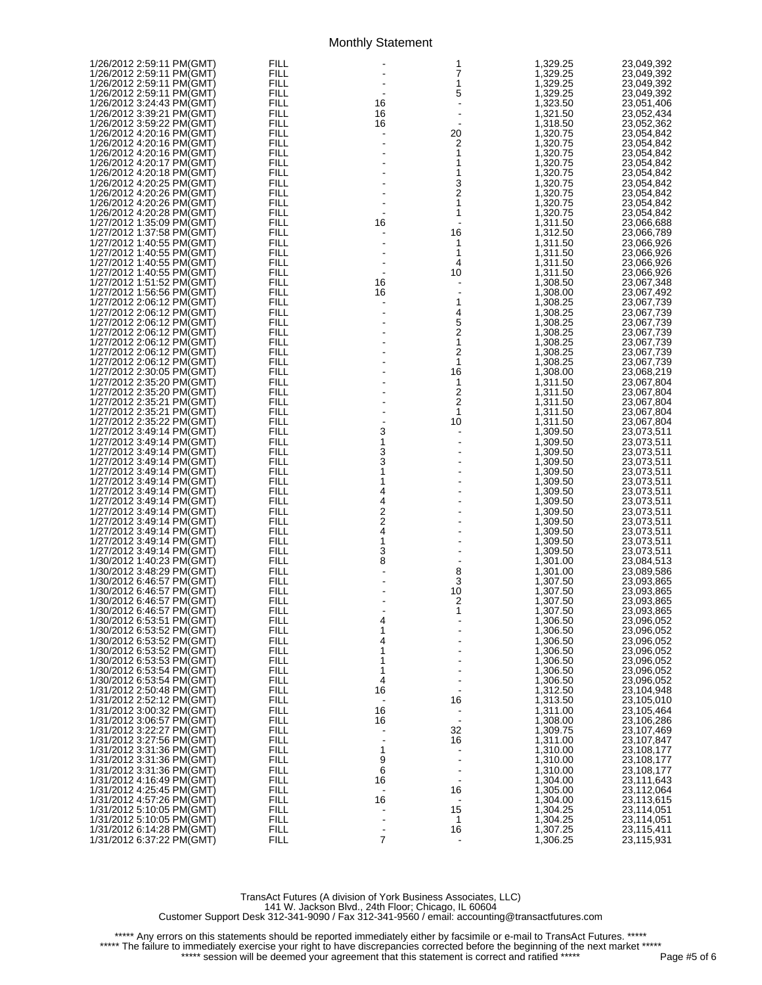| 1/26/2012 2:59:11 PM(GMT) | FILL        |                | 1                                          | 1,329.25 | 23,049,392 |
|---------------------------|-------------|----------------|--------------------------------------------|----------|------------|
| 1/26/2012 2:59:11 PM(GMT) | FILL        |                | 7                                          | 1,329.25 | 23,049,392 |
| 1/26/2012 2:59:11 PM(GMT) | <b>FILL</b> |                | $\mathbf{1}$                               | 1,329.25 | 23,049,392 |
|                           |             |                |                                            |          |            |
| 1/26/2012 2:59:11 PM(GMT) | <b>FILL</b> |                | 5                                          | 1,329.25 | 23,049,392 |
| 1/26/2012 3:24:43 PM(GMT) | FILL        | 16             |                                            | 1,323.50 | 23,051,406 |
| 1/26/2012 3:39:21 PM(GMT) | FILL        | 16             |                                            | 1,321.50 | 23,052,434 |
| 1/26/2012 3:59:22 PM(GMT) | FILL        |                |                                            | 1,318.50 | 23,052,362 |
|                           |             | 16             |                                            |          |            |
| 1/26/2012 4:20:16 PM(GMT) | FILL        |                | 20                                         | 1,320.75 | 23,054,842 |
| 1/26/2012 4:20:16 PM(GMT) | FILL        |                | 2                                          | 1,320.75 | 23,054,842 |
| 1/26/2012 4:20:16 PM(GMT) | <b>FILL</b> |                | 1                                          | 1,320.75 | 23,054,842 |
|                           |             |                |                                            |          |            |
| 1/26/2012 4:20:17 PM(GMT) | FILL        |                | 1                                          | 1,320.75 | 23,054,842 |
| 1/26/2012 4:20:18 PM(GMT) | FILL        |                | 1                                          | 1,320.75 | 23,054,842 |
| 1/26/2012 4:20:25 PM(GMT) | <b>FILL</b> |                |                                            | 1,320.75 | 23,054,842 |
| 1/26/2012 4:20:26 PM(GMT) | FILL        |                | $\frac{3}{2}$                              |          |            |
|                           |             |                |                                            | 1,320.75 | 23,054,842 |
| 1/26/2012 4:20:26 PM(GMT) | <b>FILL</b> |                | 1                                          | 1,320.75 | 23,054,842 |
| 1/26/2012 4:20:28 PM(GMT) | <b>FILL</b> |                | 1                                          | 1,320.75 | 23,054,842 |
| 1/27/2012 1:35:09 PM(GMT) | FILL        | 16             |                                            | 1,311.50 | 23,066,688 |
|                           | <b>FILL</b> |                |                                            |          |            |
| 1/27/2012 1:37:58 PM(GMT) |             |                | 16                                         | 1,312.50 | 23,066,789 |
| 1/27/2012 1:40:55 PM(GMT) | <b>FILL</b> |                | 1                                          | 1,311.50 | 23,066,926 |
| 1/27/2012 1:40:55 PM(GMT) | FILL        |                | 1                                          | 1,311.50 | 23,066,926 |
| 1/27/2012 1:40:55 PM(GMT) | <b>FILL</b> |                | 4                                          | 1,311.50 | 23,066,926 |
|                           |             |                |                                            |          |            |
| 1/27/2012 1:40:55 PM(GMT) | <b>FILL</b> |                | 10                                         | 1,311.50 | 23,066,926 |
| 1/27/2012 1:51:52 PM(GMT) | FILL        | 16             |                                            | 1,308.50 | 23,067,348 |
| 1/27/2012 1:56:56 PM(GMT) | FILL        | 16             |                                            | 1,308.00 | 23,067,492 |
|                           |             |                |                                            |          |            |
| 1/27/2012 2:06:12 PM(GMT) | FILL        | $\blacksquare$ | $\begin{array}{c} 1 \\ 4 \\ 5 \end{array}$ | 1,308.25 | 23,067,739 |
| 1/27/2012 2:06:12 PM(GMT) | FILL        |                |                                            | 1,308.25 | 23,067,739 |
| 1/27/2012 2:06:12 PM(GMT) | FILL        |                |                                            | 1,308.25 | 23,067,739 |
| 1/27/2012 2:06:12 PM(GMT) | <b>FILL</b> |                |                                            | 1,308.25 | 23,067,739 |
|                           |             |                | $\frac{2}{1}$                              |          |            |
| 1/27/2012 2:06:12 PM(GMT) | FILL        |                |                                            | 1,308.25 | 23,067,739 |
| 1/27/2012 2:06:12 PM(GMT) | FILL        |                | 2                                          | 1,308.25 | 23,067,739 |
| 1/27/2012 2:06:12 PM(GMT) | <b>FILL</b> |                | 1                                          | 1,308.25 | 23,067,739 |
|                           |             |                | 16                                         |          |            |
| 1/27/2012 2:30:05 PM(GMT) | FILL        |                |                                            | 1,308.00 | 23,068,219 |
| 1/27/2012 2:35:20 PM(GMT) | FILL        |                | 1                                          | 1,311.50 | 23,067,804 |
| 1/27/2012 2:35:20 PM(GMT) | <b>FILL</b> |                | 2                                          | 1,311.50 | 23,067,804 |
| 1/27/2012 2:35:21 PM(GMT) | FILL        |                | $\overline{c}$                             | 1,311.50 | 23,067,804 |
|                           |             |                |                                            |          |            |
| 1/27/2012 2:35:21 PM(GMT) | <b>FILL</b> | $\frac{1}{2}$  | 1                                          | 1,311.50 | 23,067,804 |
| 1/27/2012 2:35:22 PM(GMT) | <b>FILL</b> |                | 10                                         | 1,311.50 | 23,067,804 |
| 1/27/2012 3:49:14 PM(GMT) | FILL        | 3              |                                            | 1,309.50 | 23,073,511 |
|                           | <b>FILL</b> | 1              |                                            |          |            |
| 1/27/2012 3:49:14 PM(GMT) |             |                |                                            | 1,309.50 | 23,073,511 |
| 1/27/2012 3:49:14 PM(GMT) | <b>FILL</b> |                |                                            | 1,309.50 | 23,073,511 |
| 1/27/2012 3:49:14 PM(GMT) | FILL        | $\frac{3}{3}$  |                                            | 1,309.50 | 23,073,511 |
| 1/27/2012 3:49:14 PM(GMT) | <b>FILL</b> | 1              |                                            | 1,309.50 | 23,073,511 |
|                           |             |                |                                            |          |            |
| 1/27/2012 3:49:14 PM(GMT) | <b>FILL</b> | 1              |                                            | 1,309.50 | 23,073,511 |
| 1/27/2012 3:49:14 PM(GMT) | FILL        | 4              |                                            | 1,309.50 | 23,073,511 |
| 1/27/2012 3:49:14 PM(GMT) | FILL        |                |                                            | 1,309.50 | 23,073,511 |
| 1/27/2012 3:49:14 PM(GMT) | FILL        |                |                                            | 1,309.50 | 23,073,511 |
|                           |             |                |                                            |          |            |
| 1/27/2012 3:49:14 PM(GMT) | FILL        |                |                                            | 1,309.50 | 23,073,511 |
| 1/27/2012 3:49:14 PM(GMT) | FILL        | 4224           |                                            | 1,309.50 | 23,073,511 |
| 1/27/2012 3:49:14 PM(GMT) | <b>FILL</b> |                |                                            | 1,309.50 | 23,073,511 |
|                           | FILL        | 3              |                                            |          |            |
| 1/27/2012 3:49:14 PM(GMT) |             |                |                                            | 1,309.50 | 23,073,511 |
| 1/30/2012 1:40:23 PM(GMT) | FILL        | 8              |                                            | 1,301.00 | 23,084,513 |
| 1/30/2012 3:48:29 PM(GMT) | FILL        |                | 8                                          | 1,301.00 | 23,089,586 |
| 1/30/2012 6:46:57 PM(GMT) | FILL        |                | 3                                          | 1,307.50 | 23,093,865 |
|                           |             |                | 10                                         |          |            |
| 1/30/2012 6:46:57 PM(GMT) | FILL        |                |                                            | 1,307.50 | 23,093,865 |
| 1/30/2012 6:46:57 PM(GMT) | FILL        |                | $\overline{2}$                             | 1,307.50 | 23,093,865 |
| 1/30/2012 6:46:57 PM(GMT) | FILL        |                | 1                                          | 1,307.50 | 23,093,865 |
| 1/30/2012 6:53:51 PM(GMT) | <b>FILL</b> | 4              |                                            | 1,306.50 | 23,096,052 |
| 1/30/2012 6:53:52 PM(GMT) | <b>FILL</b> | 1              |                                            | 1,306.50 | 23,096,052 |
|                           |             |                |                                            |          |            |
| 1/30/2012 6:53:52 PM(GMT) | FILL        | 4              |                                            | 1,306.50 | 23,096,052 |
| 1/30/2012 6:53:52 PM(GMT) | FILL        | 1              |                                            | 1,306.50 | 23,096,052 |
| 1/30/2012 6:53:53 PM(GMT) | FILL        | 1              |                                            | 1,306.50 | 23,096,052 |
|                           | FILL        | 1              |                                            |          |            |
| 1/30/2012 6:53:54 PM(GMT) |             |                |                                            | 1,306.50 | 23,096,052 |
| 1/30/2012 6:53:54 PM(GMT) | FILL        | 4              |                                            | 1,306.50 | 23,096,052 |
| 1/31/2012 2:50:48 PM(GMT) | FILL        | 16             |                                            | 1,312.50 | 23,104,948 |
| 1/31/2012 2:52:12 PM(GMT) | FILL        |                | 16                                         | 1,313.50 | 23,105,010 |
|                           |             |                |                                            |          |            |
| 1/31/2012 3:00:32 PM(GMT) | FILL        | 16             |                                            | 1,311.00 | 23,105,464 |
| 1/31/2012 3:06:57 PM(GMT) | FILL        | 16             |                                            | 1,308.00 | 23,106,286 |
| 1/31/2012 3:22:27 PM(GMT) | FILL        |                | 32                                         | 1,309.75 | 23,107,469 |
| 1/31/2012 3:27:56 PM(GMT) | FILL        |                | 16                                         | 1,311.00 | 23,107,847 |
|                           |             |                |                                            |          |            |
| 1/31/2012 3:31:36 PM(GMT) | FILL        | 1              |                                            | 1,310.00 | 23,108,177 |
| 1/31/2012 3:31:36 PM(GMT) | FILL        | 9              |                                            | 1,310.00 | 23,108,177 |
| 1/31/2012 3:31:36 PM(GMT) | FILL        | 6              |                                            | 1,310.00 | 23,108,177 |
| 1/31/2012 4:16:49 PM(GMT) | FILL        | 16             |                                            | 1,304.00 | 23,111,643 |
|                           |             |                |                                            |          |            |
| 1/31/2012 4:25:45 PM(GMT) | FILL        |                | 16                                         | 1,305.00 | 23,112,064 |
| 1/31/2012 4:57:26 PM(GMT) | FILL        | 16             |                                            | 1,304.00 | 23,113,615 |
| 1/31/2012 5:10:05 PM(GMT) | FILL        |                | 15                                         | 1,304.25 | 23,114,051 |
| 1/31/2012 5:10:05 PM(GMT) | FILL        |                | 1                                          | 1,304.25 | 23,114,051 |
|                           |             |                |                                            |          |            |
| 1/31/2012 6:14:28 PM(GMT) | <b>FILL</b> |                | 16                                         | 1,307.25 | 23,115,411 |
| 1/31/2012 6:37:22 PM(GMT) | <b>FILL</b> | 7              |                                            | 1,306.25 | 23,115,931 |